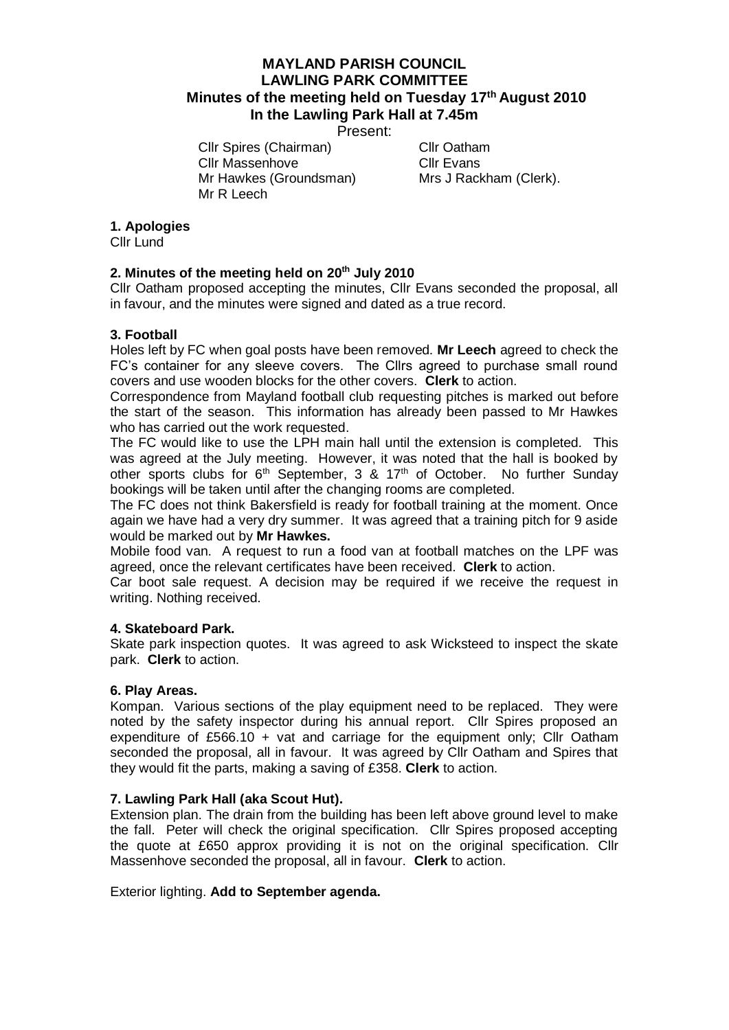# **MAYLAND PARISH COUNCIL LAWLING PARK COMMITTEE Minutes of the meeting held on Tuesday 17th August 2010 In the Lawling Park Hall at 7.45m**

Present:

Cllr Spires (Chairman) Cllr Oatham Cllr Massenhove Cllr Evans Mr Hawkes (Groundsman) Mrs J Rackham (Clerk). Mr R Leech

### **1. Apologies**

Cllr Lund

## **2. Minutes of the meeting held on 20th July 2010**

Cllr Oatham proposed accepting the minutes, Cllr Evans seconded the proposal, all in favour, and the minutes were signed and dated as a true record.

### **3. Football**

Holes left by FC when goal posts have been removed. **Mr Leech** agreed to check the FC's container for any sleeve covers. The Cllrs agreed to purchase small round covers and use wooden blocks for the other covers. **Clerk** to action.

Correspondence from Mayland football club requesting pitches is marked out before the start of the season. This information has already been passed to Mr Hawkes who has carried out the work requested.

The FC would like to use the LPH main hall until the extension is completed. This was agreed at the July meeting. However, it was noted that the hall is booked by other sports clubs for 6<sup>th</sup> September, 3 & 17<sup>th</sup> of October. No further Sunday bookings will be taken until after the changing rooms are completed.

The FC does not think Bakersfield is ready for football training at the moment. Once again we have had a very dry summer. It was agreed that a training pitch for 9 aside would be marked out by **Mr Hawkes.**

Mobile food van. A request to run a food van at football matches on the LPF was agreed, once the relevant certificates have been received. **Clerk** to action.

Car boot sale request. A decision may be required if we receive the request in writing. Nothing received.

#### **4. Skateboard Park.**

Skate park inspection quotes. It was agreed to ask Wicksteed to inspect the skate park. **Clerk** to action.

#### **6. Play Areas.**

Kompan. Various sections of the play equipment need to be replaced. They were noted by the safety inspector during his annual report. Cllr Spires proposed an expenditure of £566.10 + vat and carriage for the equipment only; CIIr Oatham seconded the proposal, all in favour. It was agreed by Cllr Oatham and Spires that they would fit the parts, making a saving of £358. **Clerk** to action.

#### **7. Lawling Park Hall (aka Scout Hut).**

Extension plan. The drain from the building has been left above ground level to make the fall. Peter will check the original specification. Cllr Spires proposed accepting the quote at £650 approx providing it is not on the original specification. Cllr Massenhove seconded the proposal, all in favour. **Clerk** to action.

Exterior lighting. **Add to September agenda.**